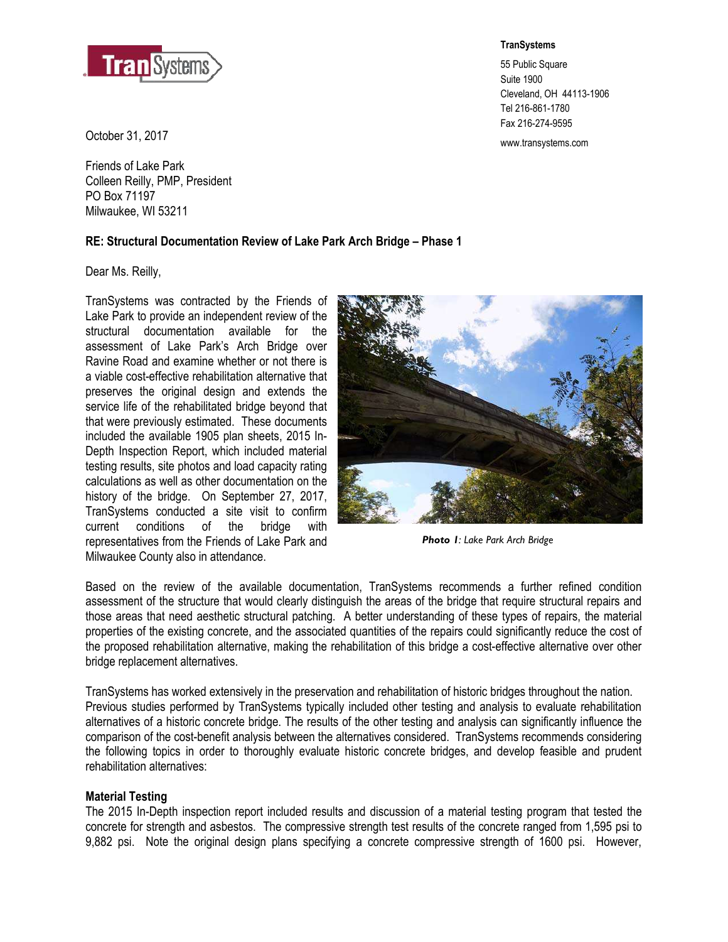

www.transystems.com October 31, 2017

Friends of Lake Park Colleen Reilly, PMP, President PO Box 71197 Milwaukee, WI 53211

# **RE: Structural Documentation Review of Lake Park Arch Bridge – Phase 1**

Dear Ms. Reilly,

TranSystems was contracted by the Friends of Lake Park to provide an independent review of the structural documentation available for the assessment of Lake Park's Arch Bridge over Ravine Road and examine whether or not there is a viable cost-effective rehabilitation alternative that preserves the original design and extends the service life of the rehabilitated bridge beyond that that were previously estimated. These documents included the available 1905 plan sheets, 2015 In-Depth Inspection Report, which included material testing results, site photos and load capacity rating calculations as well as other documentation on the history of the bridge. On September 27, 2017, TranSystems conducted a site visit to confirm current conditions of the bridge with representatives from the Friends of Lake Park and Milwaukee County also in attendance.

*Photo 1: Lake Park Arch Bridge* 

Based on the review of the available documentation, TranSystems recommends a further refined condition assessment of the structure that would clearly distinguish the areas of the bridge that require structural repairs and those areas that need aesthetic structural patching. A better understanding of these types of repairs, the material properties of the existing concrete, and the associated quantities of the repairs could significantly reduce the cost of the proposed rehabilitation alternative, making the rehabilitation of this bridge a cost-effective alternative over other bridge replacement alternatives.

TranSystems has worked extensively in the preservation and rehabilitation of historic bridges throughout the nation. Previous studies performed by TranSystems typically included other testing and analysis to evaluate rehabilitation alternatives of a historic concrete bridge. The results of the other testing and analysis can significantly influence the comparison of the cost-benefit analysis between the alternatives considered. TranSystems recommends considering the following topics in order to thoroughly evaluate historic concrete bridges, and develop feasible and prudent rehabilitation alternatives:

## **Material Testing**

The 2015 In-Depth inspection report included results and discussion of a material testing program that tested the concrete for strength and asbestos. The compressive strength test results of the concrete ranged from 1,595 psi to 9,882 psi. Note the original design plans specifying a concrete compressive strength of 1600 psi. However,

**TranSystems** 

55 Public Square Suite 1900 Cleveland, OH 44113-1906 Tel 216-861-1780 Fax 216-274-9595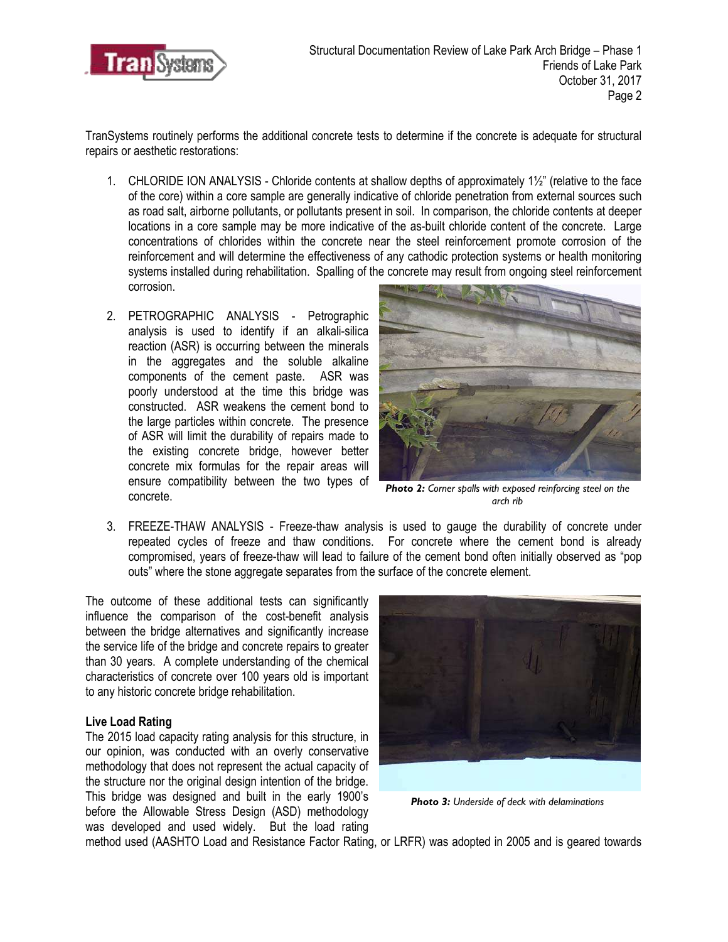

TranSystems routinely performs the additional concrete tests to determine if the concrete is adequate for structural repairs or aesthetic restorations:

- 1. CHLORIDE ION ANALYSIS Chloride contents at shallow depths of approximately 1½" (relative to the face of the core) within a core sample are generally indicative of chloride penetration from external sources such as road salt, airborne pollutants, or pollutants present in soil. In comparison, the chloride contents at deeper locations in a core sample may be more indicative of the as-built chloride content of the concrete. Large concentrations of chlorides within the concrete near the steel reinforcement promote corrosion of the reinforcement and will determine the effectiveness of any cathodic protection systems or health monitoring systems installed during rehabilitation. Spalling of the concrete may result from ongoing steel reinforcement corrosion.
- 2. PETROGRAPHIC ANALYSIS Petrographic analysis is used to identify if an alkali-silica reaction (ASR) is occurring between the minerals in the aggregates and the soluble alkaline components of the cement paste. ASR was poorly understood at the time this bridge was constructed. ASR weakens the cement bond to the large particles within concrete. The presence of ASR will limit the durability of repairs made to the existing concrete bridge, however better concrete mix formulas for the repair areas will ensure compatibility between the two types of concrete.



*Photo 2: Corner spalls with exposed reinforcing steel on the arch rib*

3. FREEZE-THAW ANALYSIS - Freeze-thaw analysis is used to gauge the durability of concrete under repeated cycles of freeze and thaw conditions. For concrete where the cement bond is already compromised, years of freeze-thaw will lead to failure of the cement bond often initially observed as "pop outs" where the stone aggregate separates from the surface of the concrete element.

The outcome of these additional tests can significantly influence the comparison of the cost-benefit analysis between the bridge alternatives and significantly increase the service life of the bridge and concrete repairs to greater than 30 years. A complete understanding of the chemical characteristics of concrete over 100 years old is important to any historic concrete bridge rehabilitation.

## **Live Load Rating**

The 2015 load capacity rating analysis for this structure, in our opinion, was conducted with an overly conservative methodology that does not represent the actual capacity of the structure nor the original design intention of the bridge. This bridge was designed and built in the early 1900's before the Allowable Stress Design (ASD) methodology was developed and used widely. But the load rating



*Photo 3: Underside of deck with delaminations*

method used (AASHTO Load and Resistance Factor Rating, or LRFR) was adopted in 2005 and is geared towards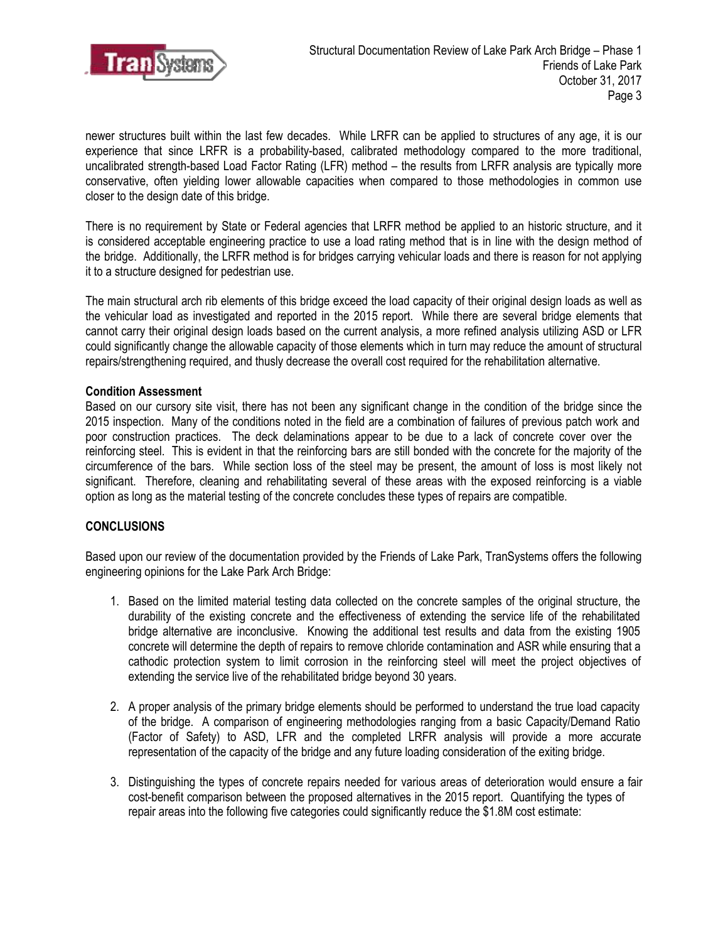

newer structures built within the last few decades. While LRFR can be applied to structures of any age, it is our experience that since LRFR is a probability-based, calibrated methodology compared to the more traditional, uncalibrated strength-based Load Factor Rating (LFR) method – the results from LRFR analysis are typically more conservative, often yielding lower allowable capacities when compared to those methodologies in common use closer to the design date of this bridge.

There is no requirement by State or Federal agencies that LRFR method be applied to an historic structure, and it is considered acceptable engineering practice to use a load rating method that is in line with the design method of the bridge. Additionally, the LRFR method is for bridges carrying vehicular loads and there is reason for not applying it to a structure designed for pedestrian use.

The main structural arch rib elements of this bridge exceed the load capacity of their original design loads as well as the vehicular load as investigated and reported in the 2015 report. While there are several bridge elements that cannot carry their original design loads based on the current analysis, a more refined analysis utilizing ASD or LFR could significantly change the allowable capacity of those elements which in turn may reduce the amount of structural repairs/strengthening required, and thusly decrease the overall cost required for the rehabilitation alternative.

### **Condition Assessment**

Based on our cursory site visit, there has not been any significant change in the condition of the bridge since the 2015 inspection. Many of the conditions noted in the field are a combination of failures of previous patch work and poor construction practices. The deck delaminations appear to be due to a lack of concrete cover over the reinforcing steel. This is evident in that the reinforcing bars are still bonded with the concrete for the majority of the circumference of the bars. While section loss of the steel may be present, the amount of loss is most likely not significant. Therefore, cleaning and rehabilitating several of these areas with the exposed reinforcing is a viable option as long as the material testing of the concrete concludes these types of repairs are compatible.

## **CONCLUSIONS**

Based upon our review of the documentation provided by the Friends of Lake Park, TranSystems offers the following engineering opinions for the Lake Park Arch Bridge:

- 1. Based on the limited material testing data collected on the concrete samples of the original structure, the durability of the existing concrete and the effectiveness of extending the service life of the rehabilitated bridge alternative are inconclusive. Knowing the additional test results and data from the existing 1905 concrete will determine the depth of repairs to remove chloride contamination and ASR while ensuring that a cathodic protection system to limit corrosion in the reinforcing steel will meet the project objectives of extending the service live of the rehabilitated bridge beyond 30 years.
- 2. A proper analysis of the primary bridge elements should be performed to understand the true load capacity of the bridge. A comparison of engineering methodologies ranging from a basic Capacity/Demand Ratio (Factor of Safety) to ASD, LFR and the completed LRFR analysis will provide a more accurate representation of the capacity of the bridge and any future loading consideration of the exiting bridge.
- 3. Distinguishing the types of concrete repairs needed for various areas of deterioration would ensure a fair cost-benefit comparison between the proposed alternatives in the 2015 report. Quantifying the types of repair areas into the following five categories could significantly reduce the \$1.8M cost estimate: